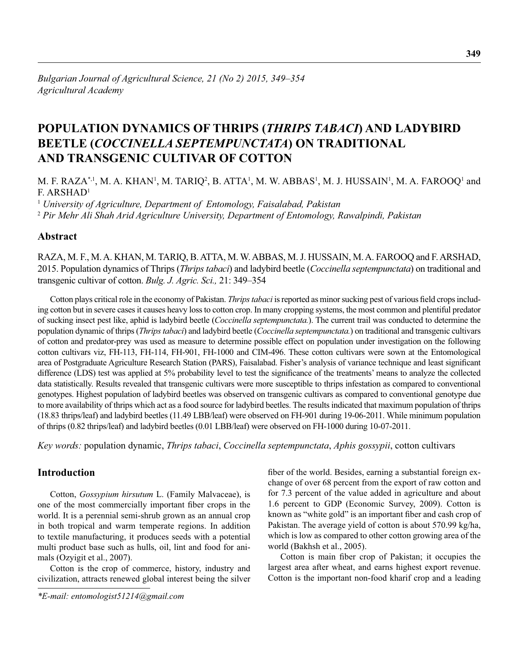# **POPULATION DYNAMICS OF THRIPS (***THRIPS TABACI***) AND LADYBIRD BEETLE (***COCCINELLA SEPTEMPUNCTATA***) ON TRADITIONAL AND TRANSGENIC CULTIVAR OF COTTON**

M. F. RAZA\*,<sup>1</sup>, M. A. KHAN<sup>1</sup>, M. TARIQ<sup>2</sup>, B. ATTA<sup>1</sup>, M. W. ABBAS<sup>1</sup>, M. J. HUSSAIN<sup>1</sup>, M. A. FAROOQ<sup>1</sup> and F. ARSHAD1

<sup>1</sup> *University of Agriculture, Department of Entomology, Faisalabad, Pakistan* <sup>2</sup> *Pir Mehr Ali Shah Arid Agriculture University, Department of Entomology, Rawalpindi, Pakistan*

## **Abstract**

RAZA, M. F., M. A. KHAN, M. TARIQ, B. ATTA, M. W. ABBAS, M. J. HUSSAIN, M. A. FAROOQ and F. ARSHAD, 2015. Population dynamics of Thrips (*Thrips tabaci*) and ladybird beetle (*Coccinella septempunctata*) on traditional and transgenic cultivar of cotton. *Bulg. J. Agric. Sci.,* 21: 349–354

Cotton plays critical role in the economy of Pakistan. *Thrips tabaci* is reported as minor sucking pest of various field crops including cotton but in severe cases it causes heavy loss to cotton crop. In many cropping systems, the most common and plentiful predator of sucking insect pest like, aphid is ladybird beetle (*Coccinella septempunctata.*). The current trail was conducted to determine the population dynamic of thrips (*Thrips tabaci*) and ladybird beetle (*Coccinella septempunctata.*) on traditional and transgenic cultivars of cotton and predator-prey was used as measure to determine possible effect on population under investigation on the following cotton cultivars viz, FH-113, FH-114, FH-901, FH-1000 and CIM-496. These cotton cultivars were sown at the Entomological area of Postgraduate Agriculture Research Station (PARS), Faisalabad. Fisher's analysis of variance technique and least significant difference (LDS) test was applied at 5% probability level to test the significance of the treatments' means to analyze the collected data statistically. Results revealed that transgenic cultivars were more susceptible to thrips infestation as compared to conventional genotypes. Highest population of ladybird beetles was observed on transgenic cultivars as compared to conventional genotype due to more availability of thrips which act as a food source for ladybird beetles. The results indicated that maximum population of thrips (18.83 thrips/leaf) and ladybird beetles (11.49 LBB/leaf) were observed on FH-901 during 19-06-2011. While minimum population of thrips (0.82 thrips/leaf) and ladybird beetles (0.01 LBB/leaf) were observed on FH-1000 during 10-07-2011.

*Key words:* population dynamic, *Thrips tabaci*, *Coccinella septempunctata*, *Aphis gossypii*, cotton cultivars

## **Introduction**

Cotton, *Gossypium hirsutum* L. (Family Malvaceae), is one of the most commercially important fiber crops in the world. It is a perennial semi-shrub grown as an annual crop in both tropical and warm temperate regions. In addition to textile manufacturing, it produces seeds with a potential multi product base such as hulls, oil, lint and food for animals (Ozyigit et al., 2007).

Cotton is the crop of commerce, history, industry and civilization, attracts renewed global interest being the silver

fiber of the world. Besides, earning a substantial foreign exchange of over 68 percent from the export of raw cotton and for 7.3 percent of the value added in agriculture and about 1.6 percent to GDP (Economic Survey, 2009). Cotton is known as "white gold" is an important fiber and cash crop of Pakistan. The average yield of cotton is about 570.99 kg/ha, which is low as compared to other cotton growing area of the world (Bakhsh et al., 2005).

Cotton is main fiber crop of Pakistan; it occupies the largest area after wheat, and earns highest export revenue. Cotton is the important non-food kharif crop and a leading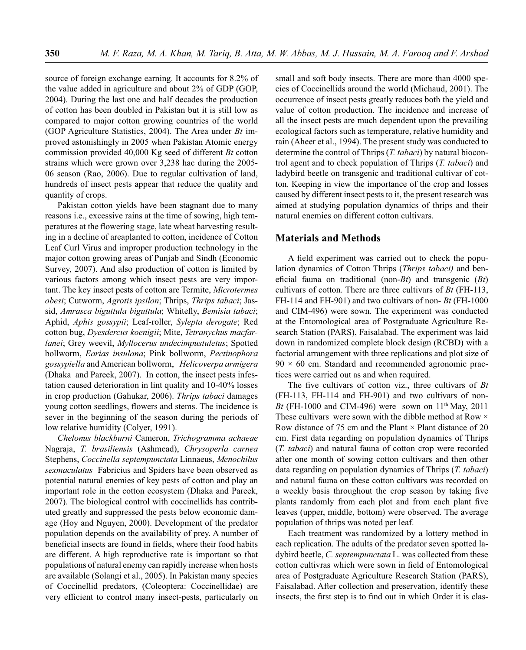source of foreign exchange earning. It accounts for 8.2% of the value added in agriculture and about 2% of GDP (GOP, 2004). During the last one and half decades the production of cotton has been doubled in Pakistan but it is still low as compared to major cotton growing countries of the world (GOP Agriculture Statistics, 2004). The Area under *Bt* improved astonishingly in 2005 when Pakistan Atomic energy commission provided 40,000 Kg seed of different *Bt* cotton strains which were grown over 3,238 hac during the 2005- 06 season (Rao, 2006). Due to regular cultivation of land, hundreds of insect pests appear that reduce the quality and quantity of crops.

Pakistan cotton yields have been stagnant due to many reasons i.e., excessive rains at the time of sowing, high temperatures at the flowering stage, late wheat harvesting resulting in a decline of areaplanted to cotton, incidence of Cotton Leaf Curl Virus and improper production technology in the major cotton growing areas of Punjab and Sindh (Economic Survey, 2007). And also production of cotton is limited by various factors among which insect pests are very important. The key insect pests of cotton are Termite, *Microtermes obesi*; Cutworm, *Agrotis ipsilon*; Thrips, *Thrips tabaci*; Jassid, *Amrasca biguttula biguttula*; Whitefly, *Bemisia tabaci*; Aphid, *Aphis gossypii*; Leaf-roller, *Sylepta derogate*; Red cotton bug, *Dyesdercus koenigii*; Mite, *Tetranychus macfarlanei*; Grey weevil, *Myllocerus undecimpustuletus*; Spotted bollworm, *Earias insulana*; Pink bollworm, *Pectinophora gossypiella* and American bollworm, *Helicoverpa armigera* (Dhaka and Pareek, 2007). In cotton, the insect pests infestation caused deterioration in lint quality and 10-40% losses in crop production (Gahukar, 2006). *Thrips tabaci* damages young cotton seedlings, flowers and stems. The incidence is sever in the beginning of the season during the periods of low relative humidity (Colyer, 1991).

*Chelonus blackburni* Cameron, *Trichogramma achaeae*  Nagraja, *T. brasiliensis* (Ashmead), *Chrysoperla carnea*  Stephens, *Coccinella septempunctata* Linnaeus, *Menochilus sexmaculatus* Fabricius and Spiders have been observed as potential natural enemies of key pests of cotton and play an important role in the cotton ecosystem (Dhaka and Pareek, 2007). The biological control with coccinellids has contributed greatly and suppressed the pests below economic damage (Hoy and Nguyen, 2000). Development of the predator population depends on the availability of prey. A number of beneficial insects are found in fields, where their food habits are different. A high reproductive rate is important so that populations of natural enemy can rapidly increase when hosts are available (Solangi et al., 2005). In Pakistan many species of Coccinellid predators, (Coleoptera: Coccinellidae) are very efficient to control many insect-pests, particularly on

small and soft body insects. There are more than 4000 species of Coccinellids around the world (Michaud, 2001). The occurrence of insect pests greatly reduces both the yield and value of cotton production. The incidence and increase of all the insect pests are much dependent upon the prevailing ecological factors such as temperature, relative humidity and rain (Aheer et al., 1994). The present study was conducted to determine the control of Thrips (*T. tabaci*) by natural biocontrol agent and to check population of Thrips (*T. tabaci*) and ladybird beetle on transgenic and traditional cultivar of cotton. Keeping in view the importance of the crop and losses caused by different insect pests to it, the present research was aimed at studying population dynamics of thrips and their natural enemies on different cotton cultivars.

#### **Materials and Methods**

A field experiment was carried out to check the population dynamics of Cotton Thrips (*Thrips tabaci)* and beneficial fauna on traditional (non-*Bt*) and transgenic (*Bt*) cultivars of cotton. There are three cultivars of *Bt* (FH-113, FH-114 and FH-901) and two cultivars of non- *Bt* (FH-1000 and CIM-496) were sown. The experiment was conducted at the Entomological area of Postgraduate Agriculture Research Station (PARS), Faisalabad. The experiment was laid down in randomized complete block design (RCBD) with a factorial arrangement with three replications and plot size of  $90 \times 60$  cm. Standard and recommended agronomic practices were carried out as and when required.

The five cultivars of cotton viz., three cultivars of *Bt* (FH-113, FH-114 and FH-901) and two cultivars of non-*Bt* (FH-1000 and CIM-496) were sown on  $11<sup>th</sup>$  May, 2011 These cultivars were sown with the dibble method at Row  $\times$ Row distance of 75 cm and the Plant  $\times$  Plant distance of 20 cm. First data regarding on population dynamics of Thrips (*T. tabaci*) and natural fauna of cotton crop were recorded after one month of sowing cotton cultivars and then other data regarding on population dynamics of Thrips (*T. tabaci*) and natural fauna on these cotton cultivars was recorded on a weekly basis throughout the crop season by taking five plants randomly from each plot and from each plant five leaves (upper, middle, bottom) were observed. The average population of thrips was noted per leaf.

Each treatment was randomized by a lottery method in each replication. The adults of the predator seven spotted ladybird beetle, *C. septempunctata* L. was collected from these cotton cultivras which were sown in field of Entomological area of Postgraduate Agriculture Research Station (PARS), Faisalabad. After collection and preservation, identify these insects, the first step is to find out in which Order it is clas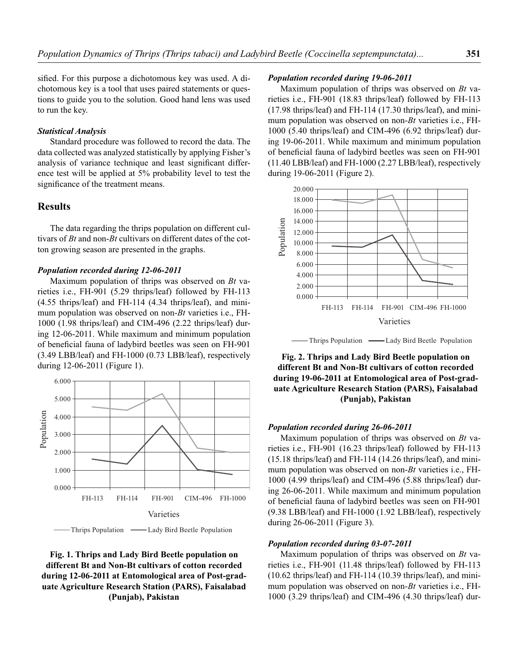sified. For this purpose a dichotomous key was used. A dichotomous key is a tool that uses paired statements or questions to guide you to the solution. Good hand lens was used to run the key.

#### *Statistical Analysis*

Standard procedure was followed to record the data. The data collected was analyzed statistically by applying Fisher's analysis of variance technique and least significant difference test will be applied at 5% probability level to test the significance of the treatment means.

## **Results**

The data regarding the thrips population on different cultivars of *Bt* and non-*Bt* cultivars on different dates of the cotton growing season are presented in the graphs.

#### *Population recorded during 12-06-2011*

Maximum population of thrips was observed on *Bt* varieties i.e., FH-901 (5.29 thrips/leaf) followed by FH-113 (4.55 thrips/leaf) and FH-114 (4.34 thrips/leaf), and minimum population was observed on non-*Bt* varieties i.e., FH-1000 (1.98 thrips/leaf) and CIM-496 (2.22 thrips/leaf) during 12-06-2011. While maximum and minimum population of beneficial fauna of ladybird beetles was seen on FH-901 (3.49 LBB/leaf) and FH-1000 (0.73 LBB/leaf), respectively during 12-06-2011 (Figure 1).



## **Fig. 1. Thrips and Lady Bird Beetle population on different Bt and Non-Bt cultivars of cotton recorded during 12-06-2011 at Entomological area of Post-graduate Agriculture Research Station (PARS), Faisalabad (Punjab), Pakistan**

#### *Population recorded during 19-06-2011*

Maximum population of thrips was observed on *Bt* varieties i.e., FH-901 (18.83 thrips/leaf) followed by FH-113 (17.98 thrips/leaf) and FH-114 (17.30 thrips/leaf), and minimum population was observed on non-*Bt* varieties i.e., FH-1000 (5.40 thrips/leaf) and CIM-496 (6.92 thrips/leaf) during 19-06-2011. While maximum and minimum population of beneficial fauna of ladybird beetles was seen on FH-901 (11.40 LBB/leaf) and FH-1000 (2.27 LBB/leaf), respectively during 19-06-2011 (Figure 2).



Thrips Population — Lady Bird Beetle Population

**Fig. 2. Thrips and Lady Bird Beetle population on different Bt and Non-Bt cultivars of cotton recorded during 19-06-2011 at Entomological area of Post-graduate Agriculture Research Station (PARS), Faisalabad (Punjab), Pakistan**

#### *Population recorded during 26-06-2011*

Maximum population of thrips was observed on *Bt* varieties i.e., FH-901 (16.23 thrips/leaf) followed by FH-113 (15.18 thrips/leaf) and FH-114 (14.26 thrips/leaf), and minimum population was observed on non-*Bt* varieties i.e., FH-1000 (4.99 thrips/leaf) and CIM-496 (5.88 thrips/leaf) during 26-06-2011. While maximum and minimum population of beneficial fauna of ladybird beetles was seen on FH-901 (9.38 LBB/leaf) and FH-1000 (1.92 LBB/leaf), respectively during 26-06-2011 (Figure 3).

#### *Population recorded during 03-07-2011*

Maximum population of thrips was observed on *Bt* varieties i.e., FH-901 (11.48 thrips/leaf) followed by FH-113 (10.62 thrips/leaf) and FH-114 (10.39 thrips/leaf), and minimum population was observed on non-*Bt* varieties i.e., FH-1000 (3.29 thrips/leaf) and CIM-496 (4.30 thrips/leaf) dur-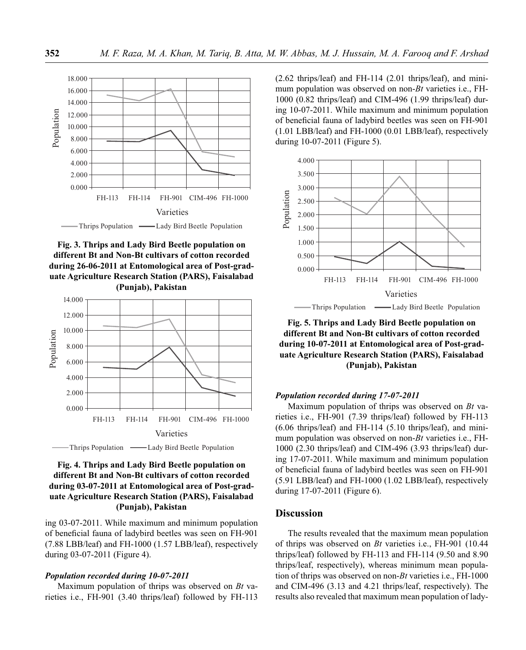





## **Fig. 4. Thrips and Lady Bird Beetle population on different Bt and Non-Bt cultivars of cotton recorded during 03-07-2011 at Entomological area of Post-graduate Agriculture Research Station (PARS), Faisalabad (Punjab), Pakistan**

ing 03-07-2011. While maximum and minimum population of beneficial fauna of ladybird beetles was seen on FH-901 (7.88 LBB/leaf) and FH-1000 (1.57 LBB/leaf), respectively during 03-07-2011 (Figure 4).

#### *Population recorded during 10-07-2011*

Maximum population of thrips was observed on *Bt* varieties i.e., FH-901 (3.40 thrips/leaf) followed by FH-113 (2.62 thrips/leaf) and FH-114 (2.01 thrips/leaf), and minimum population was observed on non-*Bt* varieties i.e., FH-1000 (0.82 thrips/leaf) and CIM-496 (1.99 thrips/leaf) during 10-07-2011. While maximum and minimum population of beneficial fauna of ladybird beetles was seen on FH-901 (1.01 LBB/leaf) and FH-1000 (0.01 LBB/leaf), respectively during 10-07-2011 (Figure 5).



**Fig. 5. Thrips and Lady Bird Beetle population on different Bt and Non-Bt cultivars of cotton recorded during 10-07-2011 at Entomological area of Post-graduate Agriculture Research Station (PARS), Faisalabad (Punjab), Pakistan**

#### *Population recorded during 17-07-2011*

Maximum population of thrips was observed on *Bt* varieties i.e., FH-901 (7.39 thrips/leaf) followed by FH-113 (6.06 thrips/leaf) and FH-114 (5.10 thrips/leaf), and minimum population was observed on non-*Bt* varieties i.e., FH-1000 (2.30 thrips/leaf) and CIM-496 (3.93 thrips/leaf) during 17-07-2011. While maximum and minimum population of beneficial fauna of ladybird beetles was seen on FH-901 (5.91 LBB/leaf) and FH-1000 (1.02 LBB/leaf), respectively during 17-07-2011 (Figure 6).

## **Discussion**

The results revealed that the maximum mean population of thrips was observed on *Bt* varieties i.e., FH-901 (10.44 thrips/leaf) followed by FH-113 and FH-114 (9.50 and 8.90 thrips/leaf, respectively), whereas minimum mean population of thrips was observed on non-*Bt* varieties i.e., FH-1000 and CIM-496 (3.13 and 4.21 thrips/leaf, respectively). The results also revealed that maximum mean population of lady-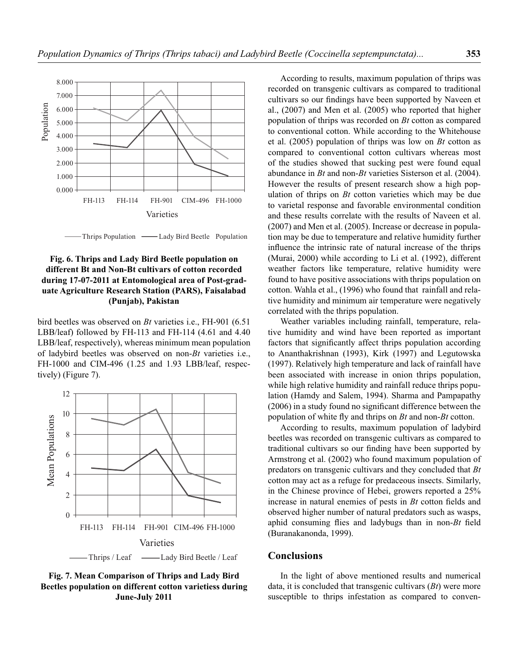

Thrips Population — Lady Bird Beetle Population

## **Fig. 6. Thrips and Lady Bird Beetle population on different Bt and Non-Bt cultivars of cotton recorded during 17-07-2011 at Entomological area of Post-graduate Agriculture Research Station (PARS), Faisalabad (Punjab), Pakistan**

bird beetles was observed on *Bt* varieties i.e., FH-901 (6.51 LBB/leaf) followed by FH-113 and FH-114 (4.61 and 4.40 LBB/leaf, respectively), whereas minimum mean population of ladybird beetles was observed on non-*Bt* varieties i.e., FH-1000 and CIM-496 (1.25 and 1.93 LBB/leaf, respectively) (Figure 7).



**Fig. 7. Mean Comparison of Thrips and Lady Bird Beetles population on different cotton varietiess during June-July 2011**

According to results, maximum population of thrips was recorded on transgenic cultivars as compared to traditional cultivars so our findings have been supported by Naveen et al., (2007) and Men et al. (2005) who reported that higher population of thrips was recorded on *Bt* cotton as compared to conventional cotton. While according to the Whitehouse et al. (2005) population of thrips was low on *Bt* cotton as compared to conventional cotton cultivars whereas most of the studies showed that sucking pest were found equal abundance in *Bt* and non-*Bt* varieties Sisterson et al. (2004). However the results of present research show a high population of thrips on *Bt* cotton varieties which may be due to varietal response and favorable environmental condition and these results correlate with the results of Naveen et al. (2007) and Men et al. (2005). Increase or decrease in population may be due to temperature and relative humidity further influence the intrinsic rate of natural increase of the thrips (Murai, 2000) while according to Li et al. (1992), different weather factors like temperature, relative humidity were found to have positive associations with thrips population on cotton. Wahla et al., (1996) who found that rainfall and relative humidity and minimum air temperature were negatively correlated with the thrips population.

Weather variables including rainfall, temperature, relative humidity and wind have been reported as important factors that significantly affect thrips population according to Ananthakrishnan (1993), Kirk (1997) and Legutowska (1997). Relatively high temperature and lack of rainfall have been associated with increase in onion thrips population, while high relative humidity and rainfall reduce thrips population (Hamdy and Salem, 1994). Sharma and Pampapathy  $(2006)$  in a study found no significant difference between the population of white fly and thrips on *Bt* and non-*Bt* cotton.

According to results, maximum population of ladybird beetles was recorded on transgenic cultivars as compared to traditional cultivars so our finding have been supported by Armstrong et al. (2002) who found maximum population of predators on transgenic cultivars and they concluded that *Bt* cotton may act as a refuge for predaceous insects. Similarly, in the Chinese province of Hebei, growers reported a 25% increase in natural enemies of pests in *Bt* cotton fields and observed higher number of natural predators such as wasps, aphid consuming flies and ladybugs than in non-*Bt* field (Buranakanonda, 1999).

### **Conclusions**

In the light of above mentioned results and numerical data, it is concluded that transgenic cultivars (*Bt*) were more susceptible to thrips infestation as compared to conven-